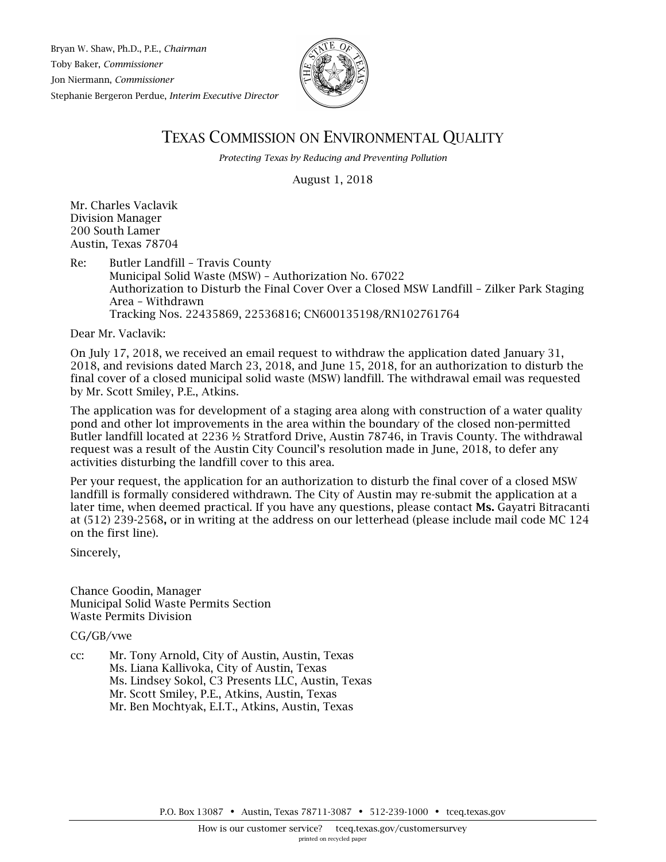Bryan W. Shaw, Ph.D., P.E., *Chairman* Toby Baker, *Commissioner* Jon Niermann, *Commissioner* Stephanie Bergeron Perdue, *Interim Executive Director*



## TEXAS COMMISSION ON ENVIRONMENTAL QUALITY

*Protecting Texas by Reducing and Preventing Pollution*

August 1, 2018

Mr. Charles Vaclavik Division Manager 200 South Lamer Austin, Texas 78704

Re: Butler Landfill – Travis County Municipal Solid Waste (MSW) – Authorization No. 67022 Authorization to Disturb the Final Cover Over a Closed MSW Landfill – Zilker Park Staging Area – Withdrawn Tracking Nos. 22435869, 22536816; CN600135198/RN102761764

Dear Mr. Vaclavik:

On July 17, 2018, we received an email request to withdraw the application dated January 31, 2018, and revisions dated March 23, 2018, and June 15, 2018, for an authorization to disturb the final cover of a closed municipal solid waste (MSW) landfill. The withdrawal email was requested by Mr. Scott Smiley, P.E., Atkins.

The application was for development of a staging area along with construction of a water quality pond and other lot improvements in the area within the boundary of the closed non-permitted Butler landfill located at 2236 ½ Stratford Drive, Austin 78746, in Travis County. The withdrawal request was a result of the Austin City Council's resolution made in June, 2018, to defer any activities disturbing the landfill cover to this area.

Per your request, the application for an authorization to disturb the final cover of a closed MSW landfill is formally considered withdrawn. The City of Austin may re-submit the application at a later time, when deemed practical. If you have any questions, please contact Ms. Gayatri Bitracanti at (512) 239-2568, or in writing at the address on our letterhead (please include mail code MC 124 on the first line).

Sincerely,

Chance Goodin, Manager Municipal Solid Waste Permits Section Waste Permits Division

CG/GB/vwe

cc: Mr. Tony Arnold, City of Austin, Austin, Texas Ms. Liana Kallivoka, City of Austin, Texas Ms. Lindsey Sokol, C3 Presents LLC, Austin, Texas Mr. Scott Smiley, P.E., Atkins, Austin, Texas Mr. Ben Mochtyak, E.I.T., Atkins, Austin, Texas

P.O. Box 13087 • Austin, Texas 78711-3087 • 512-239-1000 • [tceq.texas.gov](http://www.tceq.state.tx.us/)